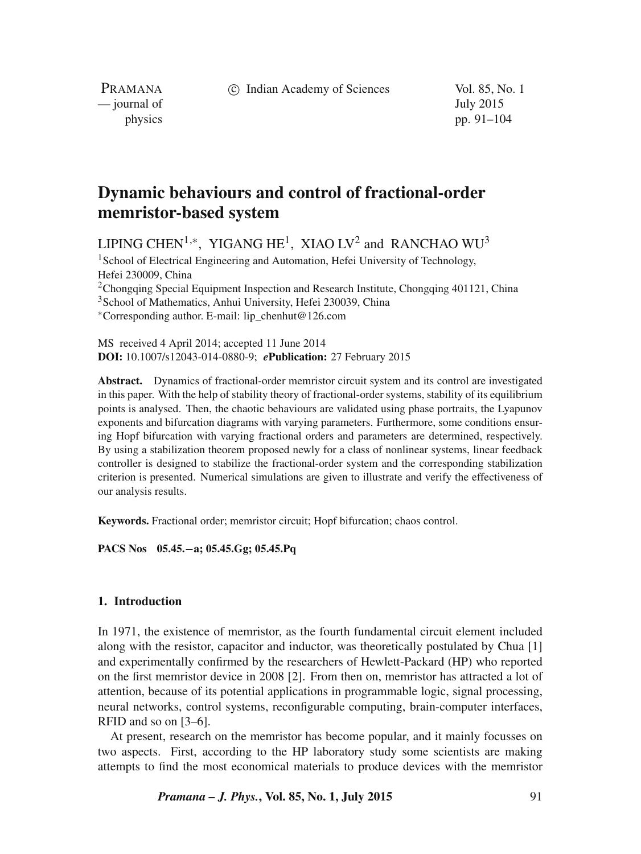c Indian Academy of Sciences Vol. 85, No. 1

PRAMANA — journal of July 2015

physics pp. 91–104

# **Dynamic behaviours and control of fractional-order memristor-based system**

LIPING CHEN $^{1,\ast}$ , YIGANG HE $^{1}$ , XIAO LV $^{2}$  and RANCHAO WU $^{3}$ 

<sup>1</sup>School of Electrical Engineering and Automation, Hefei University of Technology, Hefei 230009, China <sup>2</sup>Chongqing Special Equipment Inspection and Research Institute, Chongqing 401121, China <sup>3</sup>School of Mathematics, Anhui University, Hefei 230039, China

∗Corresponding author. E-mail: lip\_chenhut@126.com

MS received 4 April 2014; accepted 11 June 2014 **DOI:** 10.1007/s12043-014-0880-9; *e***Publication:** 27 February 2015

**Abstract.** Dynamics of fractional-order memristor circuit system and its control are investigated in this paper. With the help of stability theory of fractional-order systems, stability of its equilibrium points is analysed. Then, the chaotic behaviours are validated using phase portraits, the Lyapunov exponents and bifurcation diagrams with varying parameters. Furthermore, some conditions ensuring Hopf bifurcation with varying fractional orders and parameters are determined, respectively. By using a stabilization theorem proposed newly for a class of nonlinear systems, linear feedback controller is designed to stabilize the fractional-order system and the corresponding stabilization criterion is presented. Numerical simulations are given to illustrate and verify the effectiveness of our analysis results.

**Keywords.** Fractional order; memristor circuit; Hopf bifurcation; chaos control.

**PACS Nos 05.45.**−**a; 05.45.Gg; 05.45.Pq**

# **1. Introduction**

In 1971, the existence of memristor, as the fourth fundamental circuit element included along with the resistor, capacitor and inductor, was theoretically postulated by Chua [1] and experimentally confirmed by the researchers of Hewlett-Packard (HP) who reported on the first memristor device in 2008 [2]. From then on, memristor has attracted a lot of attention, because of its potential applications in programmable logic, signal processing, neural networks, control systems, reconfigurable computing, brain-computer interfaces, RFID and so on [3–6].

At present, research on the memristor has become popular, and it mainly focusses on two aspects. First, according to the HP laboratory study some scientists are making attempts to find the most economical materials to produce devices with the memristor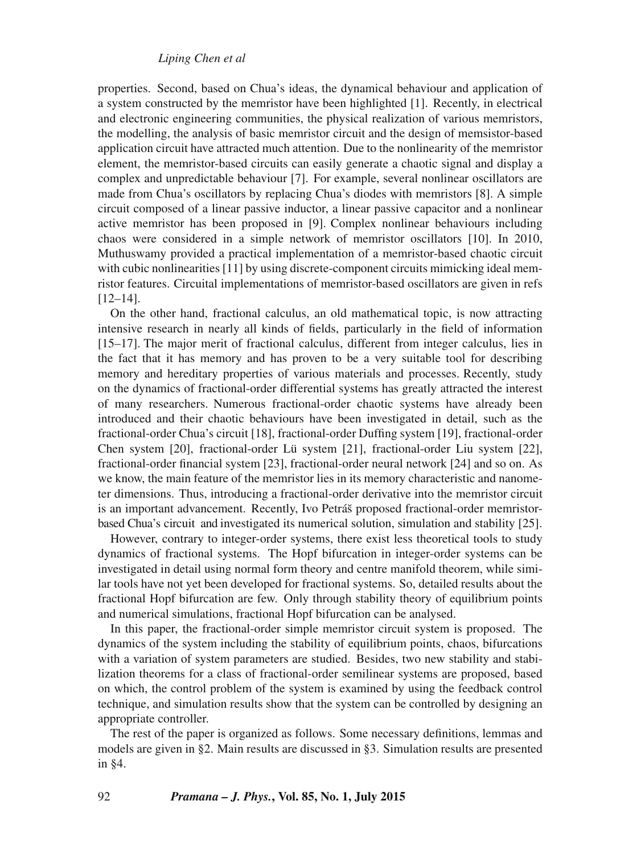# *Liping Chen et al*

properties. Second, based on Chua's ideas, the dynamical behaviour and application of a system constructed by the memristor have been highlighted [1]. Recently, in electrical and electronic engineering communities, the physical realization of various memristors, the modelling, the analysis of basic memristor circuit and the design of memsistor-based application circuit have attracted much attention. Due to the nonlinearity of the memristor element, the memristor-based circuits can easily generate a chaotic signal and display a complex and unpredictable behaviour [7]. For example, several nonlinear oscillators are made from Chua's oscillators by replacing Chua's diodes with memristors [8]. A simple circuit composed of a linear passive inductor, a linear passive capacitor and a nonlinear active memristor has been proposed in [9]. Complex nonlinear behaviours including chaos were considered in a simple network of memristor oscillators [10]. In 2010, Muthuswamy provided a practical implementation of a memristor-based chaotic circuit with cubic nonlinearities [11] by using discrete-component circuits mimicking ideal memristor features. Circuital implementations of memristor-based oscillators are given in refs [12–14].

On the other hand, fractional calculus, an old mathematical topic, is now attracting intensive research in nearly all kinds of fields, particularly in the field of information [15–17]. The major merit of fractional calculus, different from integer calculus, lies in the fact that it has memory and has proven to be a very suitable tool for describing memory and hereditary properties of various materials and processes. Recently, study on the dynamics of fractional-order differential systems has greatly attracted the interest of many researchers. Numerous fractional-order chaotic systems have already been introduced and their chaotic behaviours have been investigated in detail, such as the fractional-order Chua's circuit [18], fractional-order Duffing system [19], fractional-order Chen system [20], fractional-order Lü system [21], fractional-order Liu system [22], fractional-order financial system [23], fractional-order neural network [24] and so on. As we know, the main feature of the memristor lies in its memory characteristic and nanometer dimensions. Thus, introducing a fractional-order derivative into the memristor circuit is an important advancement. Recently, Ivo Petráš proposed fractional-order memristorbased Chua's circuit and investigated its numerical solution, simulation and stability [25].

However, contrary to integer-order systems, there exist less theoretical tools to study dynamics of fractional systems. The Hopf bifurcation in integer-order systems can be investigated in detail using normal form theory and centre manifold theorem, while similar tools have not yet been developed for fractional systems. So, detailed results about the fractional Hopf bifurcation are few. Only through stability theory of equilibrium points and numerical simulations, fractional Hopf bifurcation can be analysed.

In this paper, the fractional-order simple memristor circuit system is proposed. The dynamics of the system including the stability of equilibrium points, chaos, bifurcations with a variation of system parameters are studied. Besides, two new stability and stabilization theorems for a class of fractional-order semilinear systems are proposed, based on which, the control problem of the system is examined by using the feedback control technique, and simulation results show that the system can be controlled by designing an appropriate controller.

The rest of the paper is organized as follows. Some necessary definitions, lemmas and models are given in §2. Main results are discussed in §3. Simulation results are presented in §4.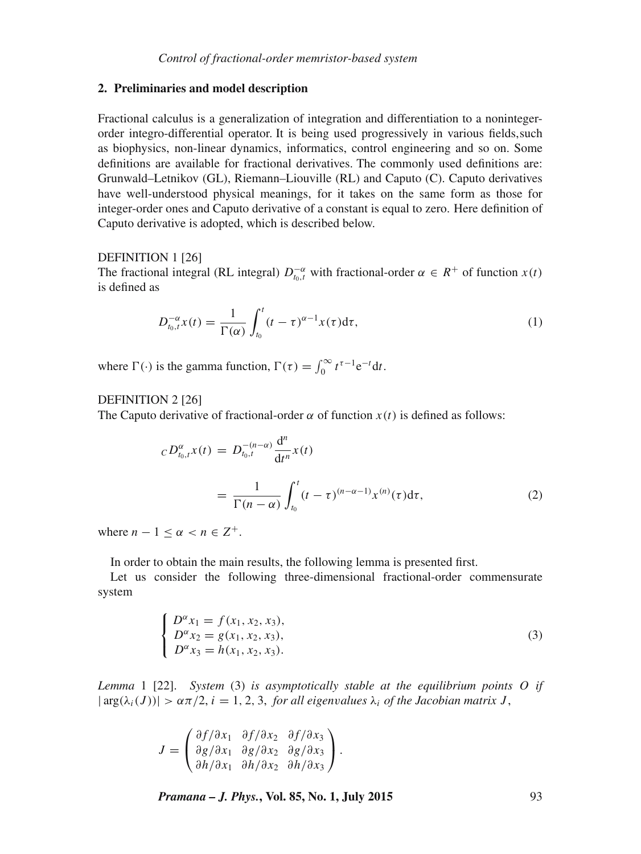## **2. Preliminaries and model description**

Fractional calculus is a generalization of integration and differentiation to a nonintegerorder integro-differential operator. It is being used progressively in various fields,such as biophysics, non-linear dynamics, informatics, control engineering and so on. Some definitions are available for fractional derivatives. The commonly used definitions are: Grunwald–Letnikov (GL), Riemann–Liouville (RL) and Caputo (C). Caputo derivatives have well-understood physical meanings, for it takes on the same form as those for integer-order ones and Caputo derivative of a constant is equal to zero. Here definition of Caputo derivative is adopted, which is described below.

## DEFINITION 1<sup>[26]</sup>

The fractional integral (RL integral)  $D_{t_0,t}^{-\alpha}$  with fractional-order  $\alpha \in R^+$  of function  $x(t)$ is defined as

$$
D_{t_0,t}^{-\alpha}x(t) = \frac{1}{\Gamma(\alpha)} \int_{t_0}^t (t-\tau)^{\alpha-1} x(\tau) d\tau,
$$
\n(1)

where  $\Gamma(\cdot)$  is the gamma function,  $\Gamma(\tau) = \int_0^\infty t^{\tau-1} e^{-t} dt$ .

# DEFINITION 2 [26]

The Caputo derivative of fractional-order  $\alpha$  of function  $x(t)$  is defined as follows:

$$
{}_CD_{t_0,t}^{\alpha} x(t) = D_{t_0,t}^{-(n-\alpha)} \frac{d^n}{dt^n} x(t)
$$
  
= 
$$
\frac{1}{\Gamma(n-\alpha)} \int_{t_0}^t (t-\tau)^{(n-\alpha-1)} x^{(n)}(\tau) d\tau,
$$
 (2)

where  $n - 1 \leq \alpha < n \in \mathbb{Z}^+$ .

In order to obtain the main results, the following lemma is presented first.

Let us consider the following three-dimensional fractional-order commensurate system

$$
\begin{cases}\nD^{\alpha}x_1 = f(x_1, x_2, x_3), \\
D^{\alpha}x_2 = g(x_1, x_2, x_3), \\
D^{\alpha}x_3 = h(x_1, x_2, x_3).\n\end{cases}
$$
\n(3)

*Lemma* 1 [22]. *System* (3) *is asymptotically stable at the equilibrium points* O *if*  $|\arg(\lambda_i(J))| > \alpha \pi/2$ ,  $i = 1, 2, 3$ , *for all eigenvalues*  $\lambda_i$  *of the Jacobian matrix J*,

$$
J = \begin{pmatrix} \frac{\partial f}{\partial x_1} & \frac{\partial f}{\partial x_2} & \frac{\partial f}{\partial x_3} \\ \frac{\partial g}{\partial x_1} & \frac{\partial g}{\partial x_2} & \frac{\partial g}{\partial x_3} \\ \frac{\partial h}{\partial x_1} & \frac{\partial h}{\partial x_2} & \frac{\partial h}{\partial x_3} \end{pmatrix}.
$$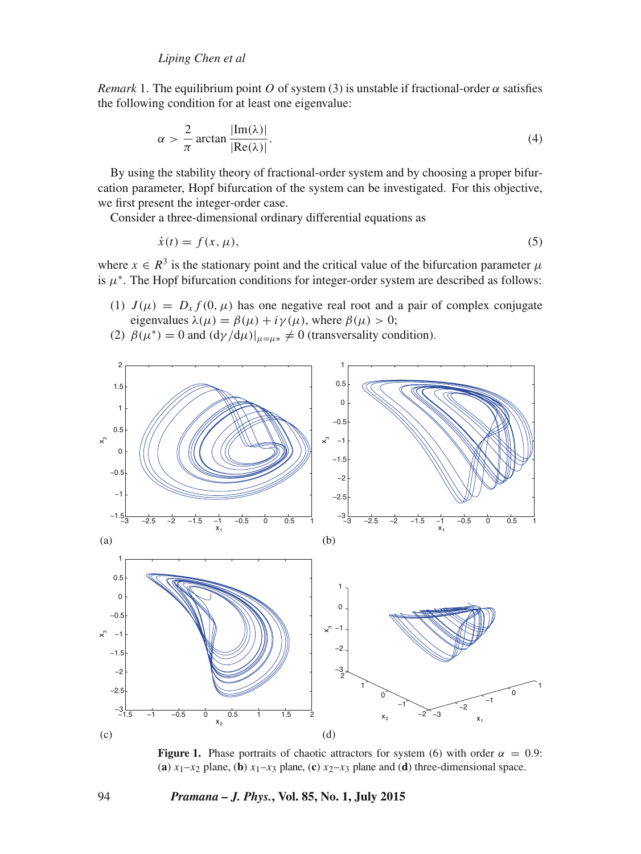*Remark* 1. The equilibrium point O of system (3) is unstable if fractional-order  $\alpha$  satisfies the following condition for at least one eigenvalue:

$$
\alpha > \frac{2}{\pi} \arctan \frac{|\text{Im}(\lambda)|}{|\text{Re}(\lambda)|}.
$$
 (4)

By using the stability theory of fractional-order system and by choosing a proper bifurcation parameter, Hopf bifurcation of the system can be investigated. For this objective, we first present the integer-order case.

Consider a three-dimensional ordinary differential equations as

$$
\dot{x}(t) = f(x, \mu),\tag{5}
$$

where  $x \in R^3$  is the stationary point and the critical value of the bifurcation parameter  $\mu$ is  $\mu^*$ . The Hopf bifurcation conditions for integer-order system are described as follows:

- (1)  $J(\mu) = D_x f(0, \mu)$  has one negative real root and a pair of complex conjugate eigenvalues  $\lambda(\mu) = \beta(\mu) + i\gamma(\mu)$ , where  $\beta(\mu) > 0$ ;
- (2)  $\beta(\mu^*) = 0$  and  $\frac{d\gamma}{d\mu}\big|_{\mu = \mu^*} \neq 0$  (transversality condition).



**Figure 1.** Phase portraits of chaotic attractors for system (6) with order  $\alpha = 0.9$ : (**a**)  $x_1-x_2$  plane, (**b**)  $x_1-x_3$  plane, (**c**)  $x_2-x_3$  plane and (**d**) three-dimensional space.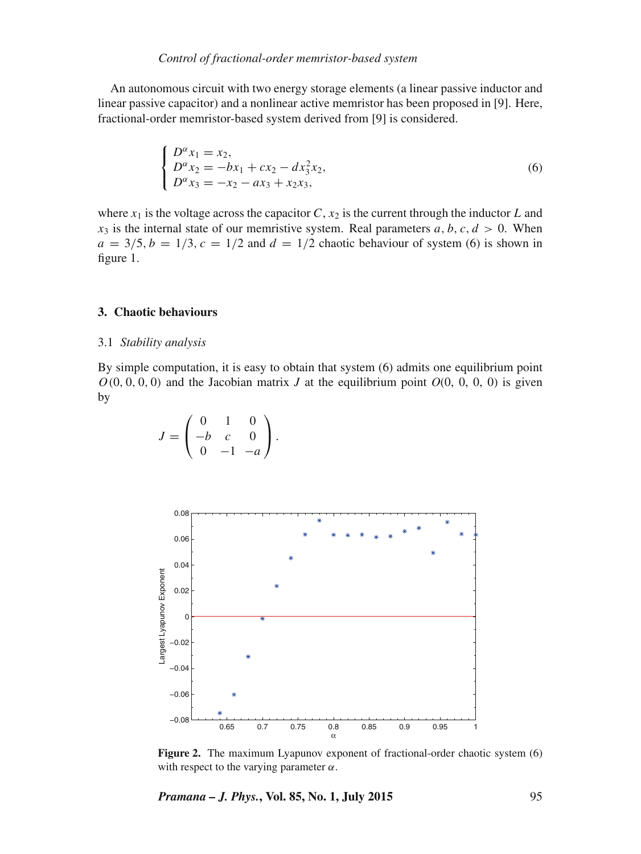## *Control of fractional-order memristor-based system*

An autonomous circuit with two energy storage elements (a linear passive inductor and linear passive capacitor) and a nonlinear active memristor has been proposed in [9]. Here, fractional-order memristor-based system derived from [9] is considered.

$$
\begin{cases}\nD^{\alpha}x_1 = x_2, \\
D^{\alpha}x_2 = -bx_1 + cx_2 - dx_3^2x_2, \\
D^{\alpha}x_3 = -x_2 - ax_3 + x_2x_3,\n\end{cases}
$$
\n(6)

where  $x_1$  is the voltage across the capacitor C,  $x_2$  is the current through the inductor L and  $x_3$  is the internal state of our memristive system. Real parameters a, b, c,  $d > 0$ . When  $a = 3/5$ ,  $b = 1/3$ ,  $c = 1/2$  and  $d = 1/2$  chaotic behaviour of system (6) is shown in figure 1.

## **3. Chaotic behaviours**

## 3.1 *Stability analysis*

By simple computation, it is easy to obtain that system (6) admits one equilibrium point  $O(0, 0, 0, 0)$  and the Jacobian matrix *J* at the equilibrium point  $O(0, 0, 0, 0)$  is given by

$$
J = \begin{pmatrix} 0 & 1 & 0 \\ -b & c & 0 \\ 0 & -1 & -a \end{pmatrix}.
$$



**Figure 2.** The maximum Lyapunov exponent of fractional-order chaotic system (6) with respect to the varying parameter  $\alpha$ .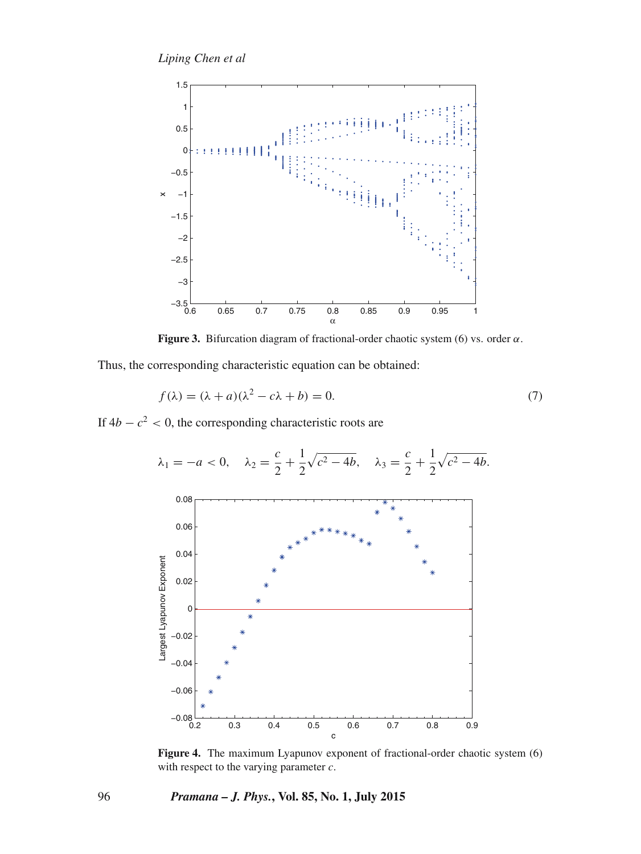*Liping Chen et al*



**Figure 3.** Bifurcation diagram of fractional-order chaotic system (6) vs. order  $\alpha$ .

Thus, the corresponding characteristic equation can be obtained:

$$
f(\lambda) = (\lambda + a)(\lambda^2 - c\lambda + b) = 0.
$$
 (7)

If  $4b - c^2 < 0$ , the corresponding characteristic roots are



Figure 4. The maximum Lyapunov exponent of fractional-order chaotic system (6) with respect to the varying parameter  $c$ .

96 *Pramana – J. Phys.***, Vol. 85, No. 1, July 2015**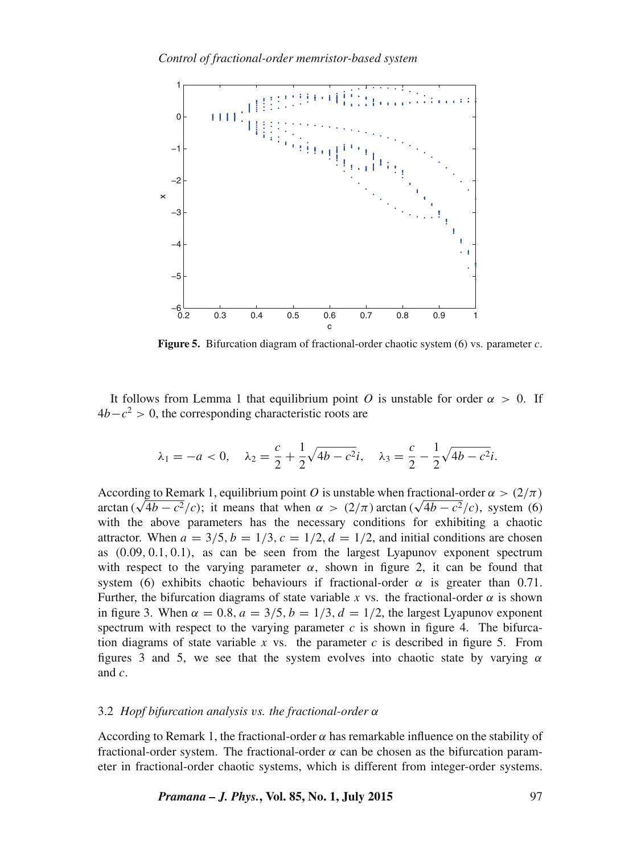

**Figure 5.** Bifurcation diagram of fractional-order chaotic system (6) vs. parameter c.

It follows from Lemma 1 that equilibrium point O is unstable for order  $\alpha > 0$ . If  $4b - c^2 > 0$ , the corresponding characteristic roots are

$$
\lambda_1 = -a < 0, \quad \lambda_2 = \frac{c}{2} + \frac{1}{2}\sqrt{4b - c^2}i, \quad \lambda_3 = \frac{c}{2} - \frac{1}{2}\sqrt{4b - c^2}i.
$$

According to Remark 1, equilibrium point O is unstable when fractional-order  $\alpha>(2/\pi)$ arctan  $(\sqrt{4b - c^2}/c)$ ; it means that when  $\alpha > (2/\pi)$  arctan  $(\sqrt{4b - c^2}/c)$ , system (6) with the above parameters has the necessary conditions for exhibiting a chaotic attractor. When  $a = 3/5$ ,  $b = 1/3$ ,  $c = 1/2$ ,  $d = 1/2$ , and initial conditions are chosen as (0.09, 0.1, 0.1), as can be seen from the largest Lyapunov exponent spectrum with respect to the varying parameter  $\alpha$ , shown in figure 2, it can be found that system (6) exhibits chaotic behaviours if fractional-order  $\alpha$  is greater than 0.71. Further, the bifurcation diagrams of state variable x vs. the fractional-order  $\alpha$  is shown in figure 3. When  $\alpha = 0.8$ ,  $a = 3/5$ ,  $b = 1/3$ ,  $d = 1/2$ , the largest Lyapunov exponent spectrum with respect to the varying parameter  $c$  is shown in figure 4. The bifurcation diagrams of state variable  $x$  vs. the parameter  $c$  is described in figure 5. From figures 3 and 5, we see that the system evolves into chaotic state by varying  $\alpha$ and c.

#### 3.2 *Hopf bifurcation analysis* v*s. the fractional-order* α

According to Remark 1, the fractional-order  $\alpha$  has remarkable influence on the stability of fractional-order system. The fractional-order  $\alpha$  can be chosen as the bifurcation parameter in fractional-order chaotic systems, which is different from integer-order systems.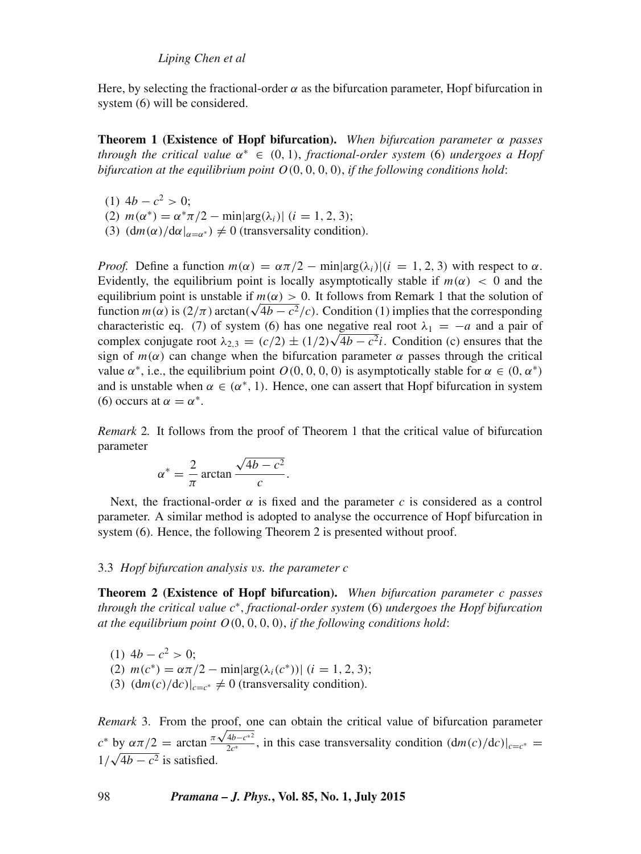Here, by selecting the fractional-order  $\alpha$  as the bifurcation parameter. Hopf bifurcation in system (6) will be considered.

**Theorem 1 (Existence of Hopf bifurcation).** *When bifurcation parameter* α *passes through the critical* v*alue* α <sup>∗</sup> ∈ (0, 1), *fractional-order system* (6) *undergoes a Hopf bifurcation at the equilibrium point* O(0, 0, 0, 0), *if the following conditions hold*:

- (1)  $4b c^2 > 0$ ;
- (2)  $m(\alpha^*) = \alpha^* \pi/2 \min[\arg(\lambda_i)]$  (i = 1, 2, 3);
- (3)  $\left(\frac{dm(\alpha)}{d\alpha}\right)_{\alpha=\alpha^*}\neq 0$  (transversality condition).

*Proof.* Define a function  $m(\alpha) = \alpha \pi/2 - \min[\arg(\lambda_i)]$   $(i = 1, 2, 3)$  with respect to  $\alpha$ . Evidently, the equilibrium point is locally asymptotically stable if  $m(\alpha) < 0$  and the equilibrium point is unstable if  $m(\alpha) > 0$ . It follows from Remark 1 that the solution of function  $m(\alpha)$  is  $\left(\frac{2}{\pi}\right)$  arctan( $\sqrt{4b - c^2}/c$ ). Condition (1) implies that the corresponding characteristic eq. (7) of system (6) has one negative real root  $\lambda_1 = -a$  and a pair of complex conjugate root  $\lambda_{2,3} = (c/2) \pm (1/2)\sqrt{4b - c^2}i$ . Condition (c) ensures that the sign of  $m(\alpha)$  can change when the bifurcation parameter  $\alpha$  passes through the critical value  $\alpha^*$ , i.e., the equilibrium point  $O(0, 0, 0, 0)$  is asymptotically stable for  $\alpha \in (0, \alpha^*)$ and is unstable when  $\alpha \in (\alpha^*, 1)$ . Hence, one can assert that Hopf bifurcation in system (6) occurs at  $\alpha = \alpha^*$ .

*Remark* 2*.* It follows from the proof of Theorem 1 that the critical value of bifurcation parameter

$$
\alpha^* = \frac{2}{\pi} \arctan \frac{\sqrt{4b - c^2}}{c}.
$$

Next, the fractional-order  $\alpha$  is fixed and the parameter c is considered as a control parameter. A similar method is adopted to analyse the occurrence of Hopf bifurcation in system (6). Hence, the following Theorem 2 is presented without proof.

# 3.3 *Hopf bifurcation analysis* v*s. the parameter* c

**Theorem 2 (Existence of Hopf bifurcation).** *When bifurcation parameter* c *passes through the critical* v*alue* c ∗ , *fractional-order system* (6) *undergoes the Hopf bifurcation at the equilibrium point* O(0, 0, 0, 0), *if the following conditions hold*:

(1)  $4b - c^2 > 0$ ; (2)  $m(c^*) = \alpha \pi/2 - \min[\arg(\lambda_i(c^*))]$  (*i* = 1, 2, 3); (3)  $\left(\frac{dm(c)}{dc}\right)|_{c=c^*} \neq 0$  (transversality condition).

*Remark* 3. From the proof, one can obtain the critical value of bifurcation parameter  $c^*$  by απ/2 = arctan  $\frac{\pi \sqrt{4b-c^*^2}}{2c^*}$  $\frac{4b-c^*}{2c^*}$ , in this case transversality condition  $(\frac{dm(c)}{dc})|_{c=c^*}$  $1/\sqrt{4b-c^2}$  is satisfied.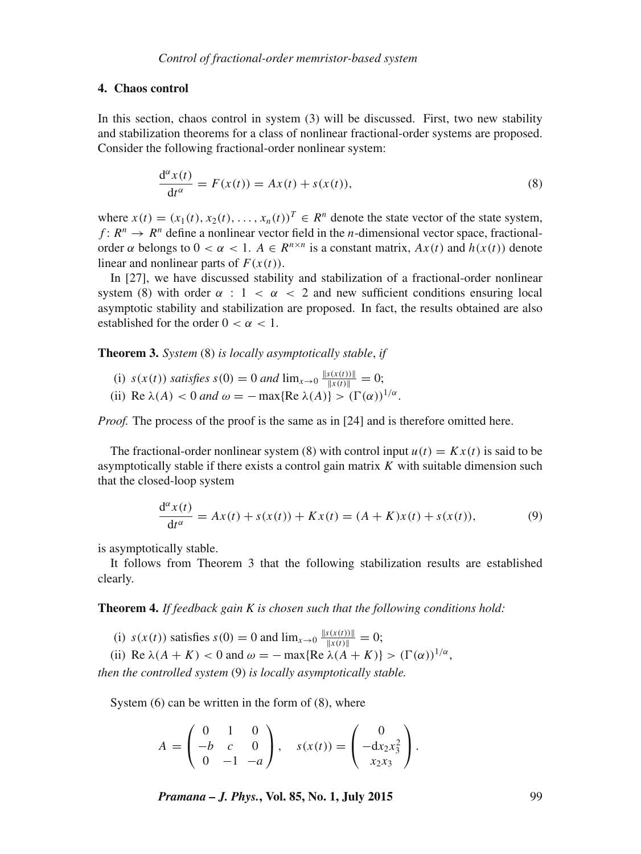#### **4. Chaos control**

In this section, chaos control in system (3) will be discussed. First, two new stability and stabilization theorems for a class of nonlinear fractional-order systems are proposed. Consider the following fractional-order nonlinear system:

$$
\frac{d^{\alpha}x(t)}{dt^{\alpha}} = F(x(t)) = Ax(t) + s(x(t)),
$$
\n(8)

where  $x(t) = (x_1(t), x_2(t), \dots, x_n(t))^T \in \mathbb{R}^n$  denote the state vector of the state system,  $f: R^n \to R^n$  define a nonlinear vector field in the *n*-dimensional vector space, fractionalorder  $\alpha$  belongs to  $0 < \alpha < 1$ .  $A \in R^{n \times n}$  is a constant matrix,  $Ax(t)$  and  $h(x(t))$  denote linear and nonlinear parts of  $F(x(t))$ .

In [27], we have discussed stability and stabilization of a fractional-order nonlinear system (8) with order  $\alpha$  :  $1 < \alpha < 2$  and new sufficient conditions ensuring local asymptotic stability and stabilization are proposed. In fact, the results obtained are also established for the order  $0 < \alpha < 1$ .

**Theorem 3.** *System* (8) *is locally asymptotically stable*, *if*

- (i)  $s(x(t))$  *satisfies*  $s(0) = 0$  *and*  $\lim_{x \to 0} \frac{\|s(x(t))\|}{\|x(t)\|} = 0;$
- (ii) Re  $\lambda(A) < 0$  *and*  $\omega = -\max\{Re \lambda(A)\} > (\Gamma(\alpha))^{1/\alpha}$ .

*Proof.* The process of the proof is the same as in [24] and is therefore omitted here.

The fractional-order nonlinear system (8) with control input  $u(t) = Kx(t)$  is said to be asymptotically stable if there exists a control gain matrix  $K$  with suitable dimension such that the closed-loop system

$$
\frac{d^{\alpha}x(t)}{dt^{\alpha}} = Ax(t) + s(x(t)) + Kx(t) = (A + K)x(t) + s(x(t)),
$$
\n(9)

is asymptotically stable.

It follows from Theorem 3 that the following stabilization results are established clearly.

**Theorem 4.** *If feedback gain K is chosen such that the following conditions hold:*

(i)  $s(x(t))$  satisfies  $s(0) = 0$  and  $\lim_{x \to 0} \frac{\|s(x(t))\|}{\|x(t)\|} = 0;$ 

(ii) Re  $\lambda(A + K) < 0$  and  $\omega = -\max\{Re \lambda(A + K)\} > (\Gamma(\alpha))^{1/\alpha}$ , *then the controlled system* (9) *is locally asymptotically stable.*

System (6) can be written in the form of (8), where

$$
A = \begin{pmatrix} 0 & 1 & 0 \\ -b & c & 0 \\ 0 & -1 & -a \end{pmatrix}, \quad s(x(t)) = \begin{pmatrix} 0 \\ -dx_2x_3^2 \\ x_2x_3 \end{pmatrix}.
$$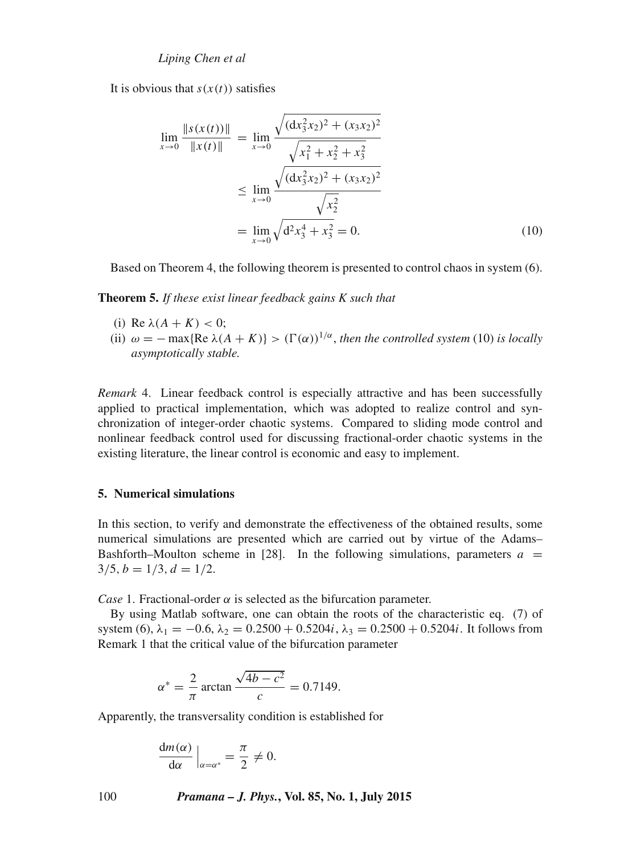It is obvious that  $s(x(t))$  satisfies

$$
\lim_{x \to 0} \frac{\|s(x(t))\|}{\|x(t)\|} = \lim_{x \to 0} \frac{\sqrt{(\mathrm{d}x_3^2 x_2)^2 + (x_3 x_2)^2}}{\sqrt{x_1^2 + x_2^2 + x_3^2}}
$$
\n
$$
\leq \lim_{x \to 0} \frac{\sqrt{(\mathrm{d}x_3^2 x_2)^2 + (x_3 x_2)^2}}{\sqrt{x_2^2}}
$$
\n
$$
= \lim_{x \to 0} \sqrt{\mathrm{d}^2 x_3^4 + x_3^2} = 0.
$$
\n(10)

Based on Theorem 4, the following theorem is presented to control chaos in system (6).

**Theorem 5.** *If these exist linear feedback gains K such that*

- (i) Re  $\lambda(A + K) < 0$ ;
- (ii)  $\omega = -\max\{Re \lambda (A + K)\} > (\Gamma(\alpha))^{1/\alpha}$ , *then the controlled system* (10) *is locally asymptotically stable.*

*Remark* 4. Linear feedback control is especially attractive and has been successfully applied to practical implementation, which was adopted to realize control and synchronization of integer-order chaotic systems. Compared to sliding mode control and nonlinear feedback control used for discussing fractional-order chaotic systems in the existing literature, the linear control is economic and easy to implement.

# **5. Numerical simulations**

In this section, to verify and demonstrate the effectiveness of the obtained results, some numerical simulations are presented which are carried out by virtue of the Adams– Bashforth–Moulton scheme in [28]. In the following simulations, parameters  $a =$  $3/5, b = 1/3, d = 1/2.$ 

*Case* 1. Fractional-order  $\alpha$  is selected as the bifurcation parameter.

By using Matlab software, one can obtain the roots of the characteristic eq. (7) of system (6),  $\lambda_1 = -0.6$ ,  $\lambda_2 = 0.2500 + 0.5204i$ ,  $\lambda_3 = 0.2500 + 0.5204i$ . It follows from Remark 1 that the critical value of the bifurcation parameter

$$
\alpha^* = \frac{2}{\pi} \arctan \frac{\sqrt{4b - c^2}}{c} = 0.7149.
$$

Apparently, the transversality condition is established for

$$
\frac{\mathrm{d}m(\alpha)}{\mathrm{d}\alpha}\Big|_{\alpha=\alpha^*}=\frac{\pi}{2}\neq 0.
$$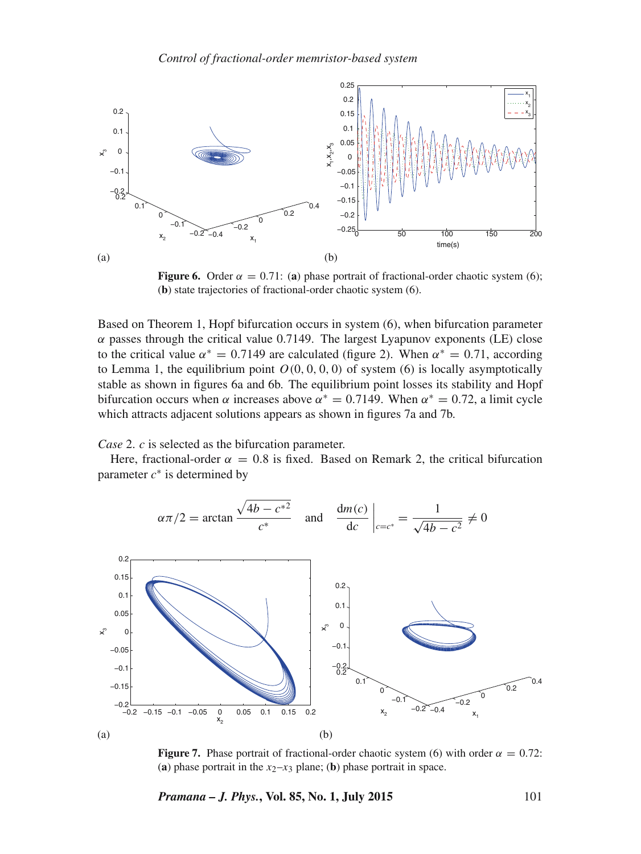

**Figure 6.** Order  $\alpha = 0.71$ : (a) phase portrait of fractional-order chaotic system (6); (**b**) state trajectories of fractional-order chaotic system (6).

Based on Theorem 1, Hopf bifurcation occurs in system (6), when bifurcation parameter  $\alpha$  passes through the critical value 0.7149. The largest Lyapunov exponents (LE) close to the critical value  $\alpha^* = 0.7149$  are calculated (figure 2). When  $\alpha^* = 0.71$ , according to Lemma 1, the equilibrium point  $O(0, 0, 0, 0)$  of system (6) is locally asymptotically stable as shown in figures 6a and 6b. The equilibrium point losses its stability and Hopf bifurcation occurs when  $\alpha$  increases above  $\alpha^* = 0.7149$ . When  $\alpha^* = 0.72$ , a limit cycle which attracts adjacent solutions appears as shown in figures 7a and 7b.

*Case* 2. *c* is selected as the bifurcation parameter.

Here, fractional-order  $\alpha = 0.8$  is fixed. Based on Remark 2, the critical bifurcation parameter  $c^*$  is determined by

$$
\alpha \pi/2 = \arctan \frac{\sqrt{4b - c^*^2}}{c^*}
$$
 and  $\frac{dm(c)}{dc} \bigg|_{c = c^*} = \frac{1}{\sqrt{4b - c^2}} \neq 0$ 



**Figure 7.** Phase portrait of fractional-order chaotic system (6) with order  $\alpha = 0.72$ : (a) phase portrait in the  $x_2-x_3$  plane; (b) phase portrait in space.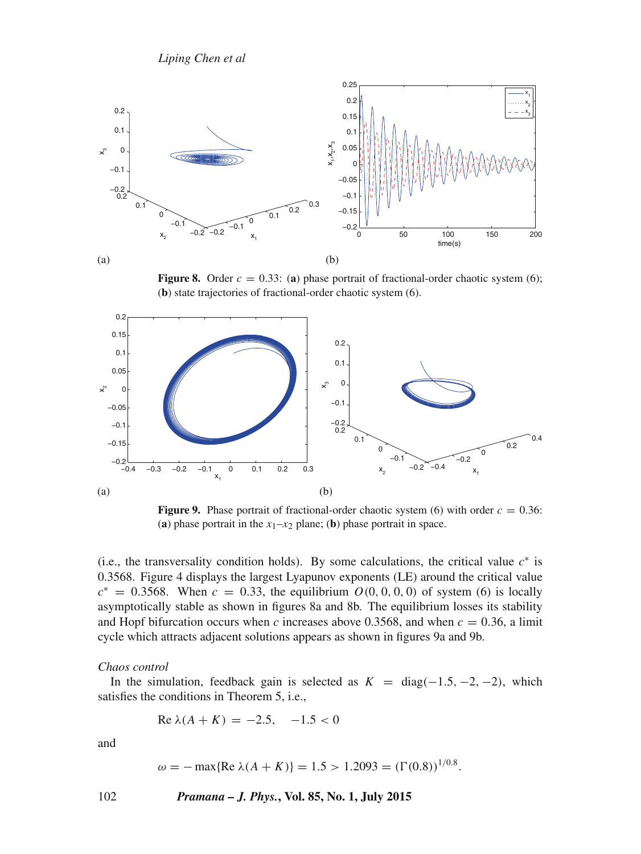

**Figure 8.** Order  $c = 0.33$ : (a) phase portrait of fractional-order chaotic system (6); (**b**) state trajectories of fractional-order chaotic system (6).



**Figure 9.** Phase portrait of fractional-order chaotic system (6) with order  $c = 0.36$ : (a) phase portrait in the  $x_1-x_2$  plane; (b) phase portrait in space.

(i.e., the transversality condition holds). By some calculations, the critical value  $c^*$  is 0.3568. Figure 4 displays the largest Lyapunov exponents (LE) around the critical value  $c^* = 0.3568$ . When  $c = 0.33$ , the equilibrium  $O(0, 0, 0, 0)$  of system (6) is locally asymptotically stable as shown in figures 8a and 8b. The equilibrium losses its stability and Hopf bifurcation occurs when c increases above 0.3568, and when  $c = 0.36$ , a limit cycle which attracts adjacent solutions appears as shown in figures 9a and 9b.

## *Chaos control*

In the simulation, feedback gain is selected as  $K = diag(-1.5, -2, -2)$ , which satisfies the conditions in Theorem 5, i.e.,

$$
Re \lambda(A + K) = -2.5, -1.5 < 0
$$

and

$$
\omega = -\max\{\text{Re }\lambda(A + K)\} = 1.5 > 1.2093 = (\Gamma(0.8))^{1/0.8}.
$$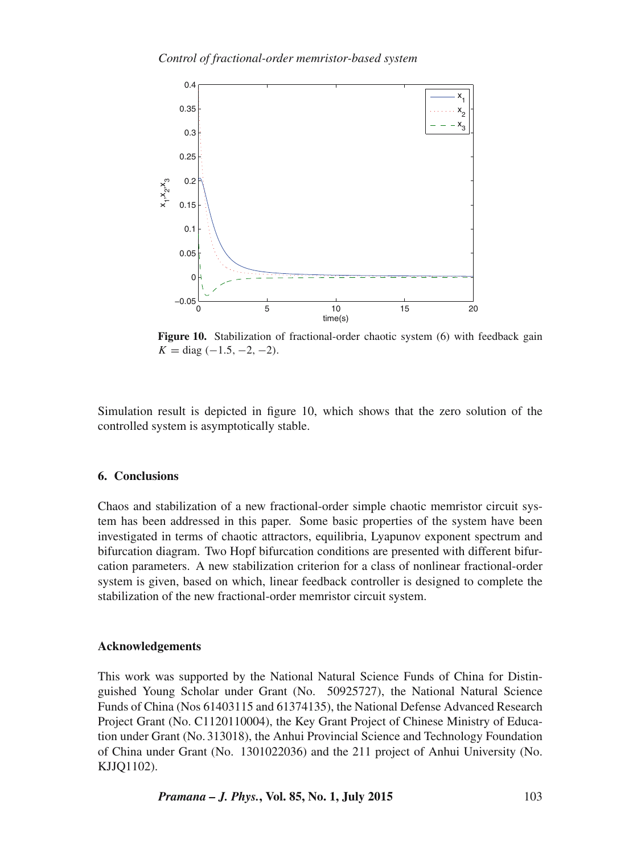

**Figure 10.** Stabilization of fractional-order chaotic system (6) with feedback gain  $K = diag(-1.5, -2, -2).$ 

Simulation result is depicted in figure 10, which shows that the zero solution of the controlled system is asymptotically stable.

# **6. Conclusions**

Chaos and stabilization of a new fractional-order simple chaotic memristor circuit system has been addressed in this paper. Some basic properties of the system have been investigated in terms of chaotic attractors, equilibria, Lyapunov exponent spectrum and bifurcation diagram. Two Hopf bifurcation conditions are presented with different bifurcation parameters. A new stabilization criterion for a class of nonlinear fractional-order system is given, based on which, linear feedback controller is designed to complete the stabilization of the new fractional-order memristor circuit system.

## **Acknowledgements**

This work was supported by the National Natural Science Funds of China for Distinguished Young Scholar under Grant (No. 50925727), the National Natural Science Funds of China (Nos 61403115 and 61374135), the National Defense Advanced Research Project Grant (No. C1120110004), the Key Grant Project of Chinese Ministry of Education under Grant (No. 313018), the Anhui Provincial Science and Technology Foundation of China under Grant (No. 1301022036) and the 211 project of Anhui University (No. KJJQ1102).